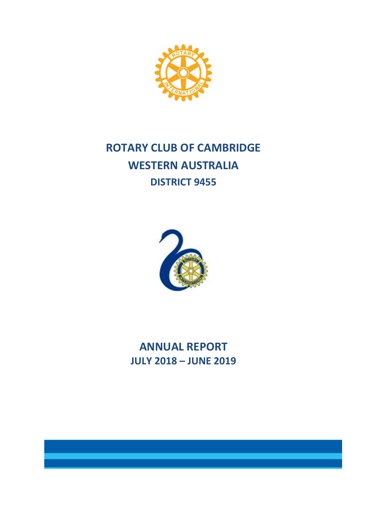

# **ROTARY CLUB OF CAMBRIDGE WESTERN AUSTRALIA DISTRICT 9455**



**ANNUAL REPORT JULY 2018 – JUNE 2019**

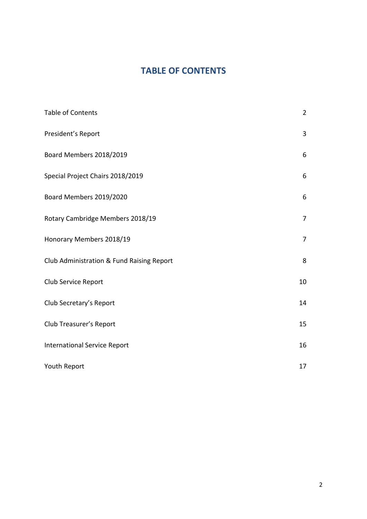# **TABLE OF CONTENTS**

| <b>Table of Contents</b>                  | $\overline{2}$ |
|-------------------------------------------|----------------|
| President's Report                        | 3              |
| Board Members 2018/2019                   | 6              |
| Special Project Chairs 2018/2019          | 6              |
| Board Members 2019/2020                   | 6              |
| Rotary Cambridge Members 2018/19          | 7              |
| Honorary Members 2018/19                  | $\overline{7}$ |
| Club Administration & Fund Raising Report | 8              |
| Club Service Report                       | 10             |
| Club Secretary's Report                   | 14             |
| Club Treasurer's Report                   | 15             |
| <b>International Service Report</b>       | 16             |
| Youth Report                              | 17             |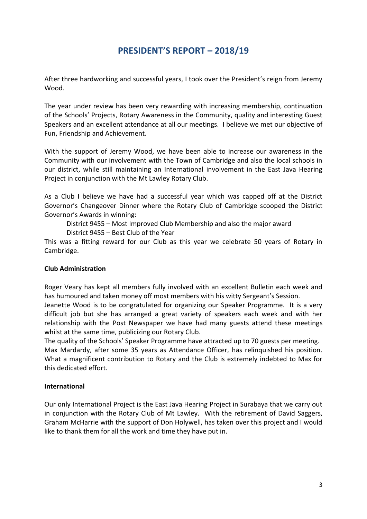# **PRESIDENT'S REPORT – 2018/19**

After three hardworking and successful years, I took over the President's reign from Jeremy Wood.

The year under review has been very rewarding with increasing membership, continuation of the Schools' Projects, Rotary Awareness in the Community, quality and interesting Guest Speakers and an excellent attendance at all our meetings. I believe we met our objective of Fun, Friendship and Achievement.

With the support of Jeremy Wood, we have been able to increase our awareness in the Community with our involvement with the Town of Cambridge and also the local schools in our district, while still maintaining an International involvement in the East Java Hearing Project in conjunction with the Mt Lawley Rotary Club.

As a Club I believe we have had a successful year which was capped off at the District Governor's Changeover Dinner where the Rotary Club of Cambridge scooped the District Governor's Awards in winning:

District 9455 – Most Improved Club Membership and also the major award

District 9455 – Best Club of the Year

This was a fitting reward for our Club as this year we celebrate 50 years of Rotary in Cambridge.

### **Club Administration**

Roger Veary has kept all members fully involved with an excellent Bulletin each week and has humoured and taken money off most members with his witty Sergeant's Session.

Jeanette Wood is to be congratulated for organizing our Speaker Programme. It is a very difficult job but she has arranged a great variety of speakers each week and with her relationship with the Post Newspaper we have had many guests attend these meetings whilst at the same time, publicizing our Rotary Club.

The quality of the Schools' Speaker Programme have attracted up to 70 guests per meeting. Max Mardardy, after some 35 years as Attendance Officer, has relinquished his position. What a magnificent contribution to Rotary and the Club is extremely indebted to Max for this dedicated effort.

### **International**

Our only International Project is the East Java Hearing Project in Surabaya that we carry out in conjunction with the Rotary Club of Mt Lawley. With the retirement of David Saggers, Graham McHarrie with the support of Don Holywell, has taken over this project and I would like to thank them for all the work and time they have put in.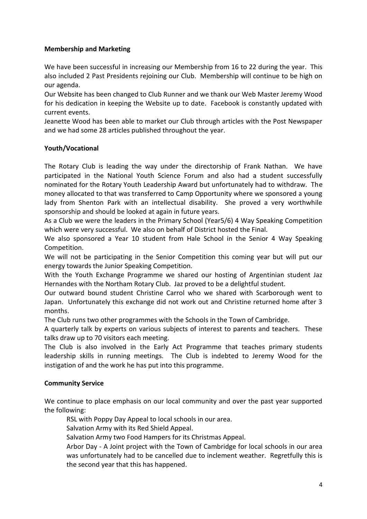### **Membership and Marketing**

We have been successful in increasing our Membership from 16 to 22 during the year. This also included 2 Past Presidents rejoining our Club. Membership will continue to be high on our agenda.

Our Website has been changed to Club Runner and we thank our Web Master Jeremy Wood for his dedication in keeping the Website up to date. Facebook is constantly updated with current events.

Jeanette Wood has been able to market our Club through articles with the Post Newspaper and we had some 28 articles published throughout the year.

### **Youth/Vocational**

The Rotary Club is leading the way under the directorship of Frank Nathan. We have participated in the National Youth Science Forum and also had a student successfully nominated for the Rotary Youth Leadership Award but unfortunately had to withdraw. The money allocated to that was transferred to Camp Opportunity where we sponsored a young lady from Shenton Park with an intellectual disability. She proved a very worthwhile sponsorship and should be looked at again in future years.

As a Club we were the leaders in the Primary School (Year5/6) 4 Way Speaking Competition which were very successful. We also on behalf of District hosted the Final.

We also sponsored a Year 10 student from Hale School in the Senior 4 Way Speaking Competition.

We will not be participating in the Senior Competition this coming year but will put our energy towards the Junior Speaking Competition.

With the Youth Exchange Programme we shared our hosting of Argentinian student Jaz Hernandes with the Northam Rotary Club. Jaz proved to be a delightful student.

Our outward bound student Christine Carrol who we shared with Scarborough went to Japan. Unfortunately this exchange did not work out and Christine returned home after 3 months.

The Club runs two other programmes with the Schools in the Town of Cambridge.

A quarterly talk by experts on various subjects of interest to parents and teachers. These talks draw up to 70 visitors each meeting.

The Club is also involved in the Early Act Programme that teaches primary students leadership skills in running meetings. The Club is indebted to Jeremy Wood for the instigation of and the work he has put into this programme.

### **Community Service**

We continue to place emphasis on our local community and over the past year supported the following:

RSL with Poppy Day Appeal to local schools in our area.

Salvation Army with its Red Shield Appeal.

Salvation Army two Food Hampers for its Christmas Appeal.

Arbor Day - A Joint project with the Town of Cambridge for local schools in our area was unfortunately had to be cancelled due to inclement weather. Regretfully this is the second year that this has happened.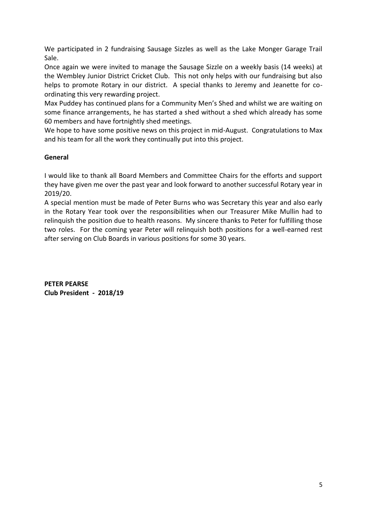We participated in 2 fundraising Sausage Sizzles as well as the Lake Monger Garage Trail Sale.

Once again we were invited to manage the Sausage Sizzle on a weekly basis (14 weeks) at the Wembley Junior District Cricket Club. This not only helps with our fundraising but also helps to promote Rotary in our district. A special thanks to Jeremy and Jeanette for coordinating this very rewarding project.

Max Puddey has continued plans for a Community Men's Shed and whilst we are waiting on some finance arrangements, he has started a shed without a shed which already has some 60 members and have fortnightly shed meetings.

We hope to have some positive news on this project in mid-August. Congratulations to Max and his team for all the work they continually put into this project.

### **General**

I would like to thank all Board Members and Committee Chairs for the efforts and support they have given me over the past year and look forward to another successful Rotary year in 2019/20.

A special mention must be made of Peter Burns who was Secretary this year and also early in the Rotary Year took over the responsibilities when our Treasurer Mike Mullin had to relinquish the position due to health reasons. My sincere thanks to Peter for fulfilling those two roles. For the coming year Peter will relinquish both positions for a well-earned rest after serving on Club Boards in various positions for some 30 years.

**PETER PEARSE Club President - 2018/19**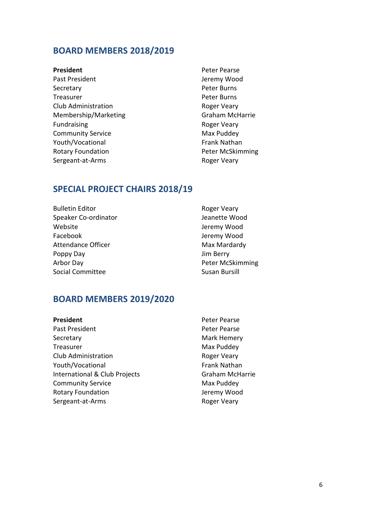### **BOARD MEMBERS 2018/2019**

- 
- Secretary **Peter Burns** Treasurer **Peter Burns** Club Administration **Roger Veary** Membership/Marketing Graham McHarrie Fundraising **Roger Veary** Community Service Max Puddey Youth/Vocational The Contract of the Frank Nathan Rotary Foundation **Peter McSkimming** Sergeant-at-Arms Roger Veary

**President** Peter Pearse Past President and Terminal Development of the Jeremy Wood

### **SPECIAL PROJECT CHAIRS 2018/19**

Bulletin Editor **Roger Veary** Speaker Co-ordinator and a settle Wood Jeanette Wood Website **Website** Jeremy Wood Facebook **Jeremy Wood** Attendance Officer Max Max Mardardy Poppy Day Jim Berry Arbor Day **Peter McSkimming** Social Committee Susan Bursill

### **BOARD MEMBERS 2019/2020**

| President                     | Peter Pearse        |
|-------------------------------|---------------------|
| Past President                | Peter Pearse        |
| Secretary                     | Mark Hemery         |
| Treasurer                     | Max Puddey          |
| Club Administration           | Roger Veary         |
| Youth/Vocational              | <b>Frank Nathan</b> |
| International & Club Projects | Graham McHarrie     |
| <b>Community Service</b>      | Max Puddey          |
| <b>Rotary Foundation</b>      | Jeremy Wood         |
| Sergeant-at-Arms              | Roger Veary         |

6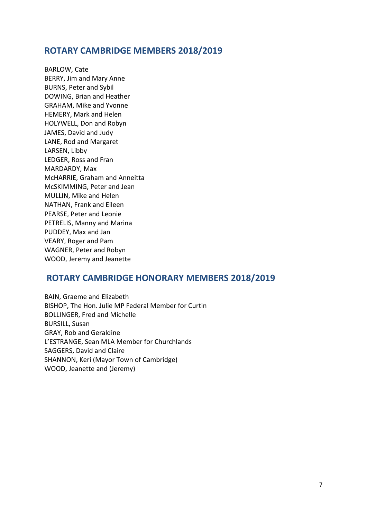### **ROTARY CAMBRIDGE MEMBERS 2018/2019**

BARLOW, Cate BERRY, Jim and Mary Anne BURNS, Peter and Sybil DOWING, Brian and Heather GRAHAM, Mike and Yvonne HEMERY, Mark and Helen HOLYWELL, Don and Robyn JAMES, David and Judy LANE, Rod and Margaret LARSEN, Libby LEDGER, Ross and Fran MARDARDY, Max McHARRIE, Graham and Anneitta McSKIMMING, Peter and Jean MULLIN, Mike and Helen NATHAN, Frank and Eileen PEARSE, Peter and Leonie PETRELIS, Manny and Marina PUDDEY, Max and Jan VEARY, Roger and Pam WAGNER, Peter and Robyn WOOD, Jeremy and Jeanette

### **ROTARY CAMBRIDGE HONORARY MEMBERS 2018/2019**

BAIN, Graeme and Elizabeth BISHOP, The Hon. Julie MP Federal Member for Curtin BOLLINGER, Fred and Michelle BURSILL, Susan GRAY, Rob and Geraldine L'ESTRANGE, Sean MLA Member for Churchlands SAGGERS, David and Claire SHANNON, Keri (Mayor Town of Cambridge) WOOD, Jeanette and (Jeremy)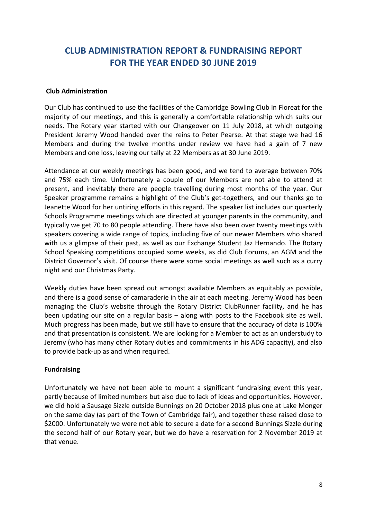# **CLUB ADMINISTRATION REPORT & FUNDRAISING REPORT FOR THE YEAR ENDED 30 JUNE 2019**

### **Club Administration**

Our Club has continued to use the facilities of the Cambridge Bowling Club in Floreat for the majority of our meetings, and this is generally a comfortable relationship which suits our needs. The Rotary year started with our Changeover on 11 July 2018, at which outgoing President Jeremy Wood handed over the reins to Peter Pearse. At that stage we had 16 Members and during the twelve months under review we have had a gain of 7 new Members and one loss, leaving our tally at 22 Members as at 30 June 2019.

Attendance at our weekly meetings has been good, and we tend to average between 70% and 75% each time. Unfortunately a couple of our Members are not able to attend at present, and inevitably there are people travelling during most months of the year. Our Speaker programme remains a highlight of the Club's get-togethers, and our thanks go to Jeanette Wood for her untiring efforts in this regard. The speaker list includes our quarterly Schools Programme meetings which are directed at younger parents in the community, and typically we get 70 to 80 people attending. There have also been over twenty meetings with speakers covering a wide range of topics, including five of our newer Members who shared with us a glimpse of their past, as well as our Exchange Student Jaz Hernando. The Rotary School Speaking competitions occupied some weeks, as did Club Forums, an AGM and the District Governor's visit. Of course there were some social meetings as well such as a curry night and our Christmas Party.

Weekly duties have been spread out amongst available Members as equitably as possible, and there is a good sense of camaraderie in the air at each meeting. Jeremy Wood has been managing the Club's website through the Rotary District ClubRunner facility, and he has been updating our site on a regular basis – along with posts to the Facebook site as well. Much progress has been made, but we still have to ensure that the accuracy of data is 100% and that presentation is consistent. We are looking for a Member to act as an understudy to Jeremy (who has many other Rotary duties and commitments in his ADG capacity), and also to provide back-up as and when required.

### **Fundraising**

Unfortunately we have not been able to mount a significant fundraising event this year, partly because of limited numbers but also due to lack of ideas and opportunities. However, we did hold a Sausage Sizzle outside Bunnings on 20 October 2018 plus one at Lake Monger on the same day (as part of the Town of Cambridge fair), and together these raised close to \$2000. Unfortunately we were not able to secure a date for a second Bunnings Sizzle during the second half of our Rotary year, but we do have a reservation for 2 November 2019 at that venue.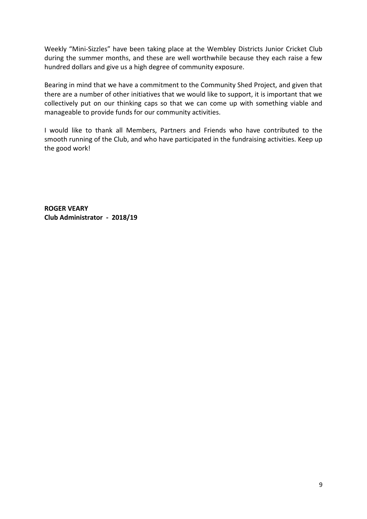Weekly "Mini-Sizzles" have been taking place at the Wembley Districts Junior Cricket Club during the summer months, and these are well worthwhile because they each raise a few hundred dollars and give us a high degree of community exposure.

Bearing in mind that we have a commitment to the Community Shed Project, and given that there are a number of other initiatives that we would like to support, it is important that we collectively put on our thinking caps so that we can come up with something viable and manageable to provide funds for our community activities.

I would like to thank all Members, Partners and Friends who have contributed to the smooth running of the Club, and who have participated in the fundraising activities. Keep up the good work!

**ROGER VEARY Club Administrator - 2018/19**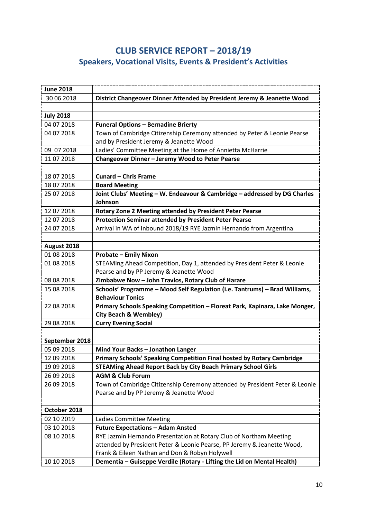# **CLUB SERVICE REPORT – 2018/19 Speakers, Vocational Visits, Events & President's Activities**

| <b>June 2018</b> |                                                                                                                           |
|------------------|---------------------------------------------------------------------------------------------------------------------------|
| 30 06 2018       | District Changeover Dinner Attended by President Jeremy & Jeanette Wood                                                   |
|                  |                                                                                                                           |
| <b>July 2018</b> |                                                                                                                           |
| 04 07 2018       | <b>Funeral Options - Bernadine Brierty</b>                                                                                |
| 04 07 2018       | Town of Cambridge Citizenship Ceremony attended by Peter & Leonie Pearse                                                  |
|                  | and by President Jeremy & Jeanette Wood                                                                                   |
| 09 07 2018       | Ladies' Committee Meeting at the Home of Annietta McHarrie                                                                |
| 11 07 2018       | Changeover Dinner - Jeremy Wood to Peter Pearse                                                                           |
|                  |                                                                                                                           |
| 18 07 2018       | <b>Cunard - Chris Frame</b>                                                                                               |
| 18 07 2018       | <b>Board Meeting</b>                                                                                                      |
| 25 07 2018       | Joint Clubs' Meeting - W. Endeavour & Cambridge - addressed by DG Charles                                                 |
|                  | Johnson                                                                                                                   |
| 12 07 2018       | Rotary Zone 2 Meeting attended by President Peter Pearse                                                                  |
| 12 07 2018       | <b>Protection Seminar attended by President Peter Pearse</b>                                                              |
| 24 07 2018       | Arrival in WA of Inbound 2018/19 RYE Jazmin Hernando from Argentina                                                       |
|                  |                                                                                                                           |
| August 2018      |                                                                                                                           |
| 01 08 2018       | <b>Probate - Emily Nixon</b>                                                                                              |
| 01 08 2018       | STEAMing Ahead Competition, Day 1, attended by President Peter & Leonie                                                   |
|                  | Pearse and by PP Jeremy & Jeanette Wood                                                                                   |
| 08 08 2018       | Zimbabwe Now - John Travlos, Rotary Club of Harare                                                                        |
| 15 08 2018       | Schools' Programme - Mood Self Regulation (i.e. Tantrums) - Brad Williams,                                                |
|                  | <b>Behaviour Tonics</b>                                                                                                   |
| 22 08 2018       | Primary Schools Speaking Competition - Floreat Park, Kapinara, Lake Monger,                                               |
|                  | <b>City Beach &amp; Wembley)</b>                                                                                          |
| 29 08 2018       | <b>Curry Evening Social</b>                                                                                               |
|                  |                                                                                                                           |
| September 2018   |                                                                                                                           |
| 05 09 2018       | Mind Your Backs - Jonathon Langer                                                                                         |
| 12 09 2018       | Primary Schools' Speaking Competition Final hosted by Rotary Cambridge                                                    |
| 19 09 2018       | <b>STEAMing Ahead Report Back by City Beach Primary School Girls</b>                                                      |
| 26 09 2018       | <b>AGM &amp; Club Forum</b>                                                                                               |
| 26 09 2018       | Town of Cambridge Citizenship Ceremony attended by President Peter & Leonie                                               |
|                  | Pearse and by PP Jeremy & Jeanette Wood                                                                                   |
|                  |                                                                                                                           |
| October 2018     |                                                                                                                           |
| 02 10 2019       | Ladies Committee Meeting                                                                                                  |
| 03 10 2018       | <b>Future Expectations - Adam Ansted</b>                                                                                  |
| 08 10 2018       | RYE Jazmin Hernando Presentation at Rotary Club of Northam Meeting                                                        |
|                  | attended by President Peter & Leonie Pearse, PP Jeremy & Jeanette Wood,<br>Frank & Eileen Nathan and Don & Robyn Holywell |
| 10 10 2018       | Dementia - Guiseppe Verdile (Rotary - Lifting the Lid on Mental Health)                                                   |
|                  |                                                                                                                           |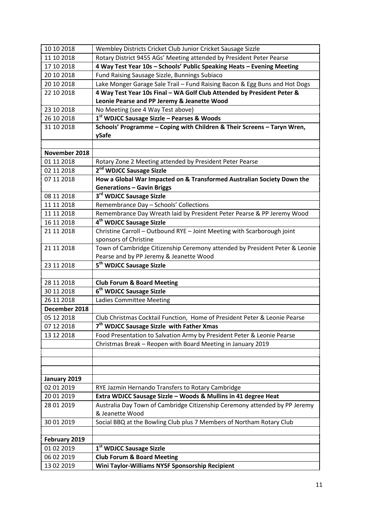| 10 10 2018    | Wembley Districts Cricket Club Junior Cricket Sausage Sizzle                                                          |  |  |
|---------------|-----------------------------------------------------------------------------------------------------------------------|--|--|
| 11 10 2018    | Rotary District 9455 AGs' Meeting attended by President Peter Pearse                                                  |  |  |
| 17 10 2018    | 4 Way Test Year 10s - Schools' Public Speaking Heats - Evening Meeting                                                |  |  |
| 20 10 2018    | Fund Raising Sausage Sizzle, Bunnings Subiaco                                                                         |  |  |
| 20 10 2018    | Lake Monger Garage Sale Trail - Fund Raising Bacon & Egg Buns and Hot Dogs                                            |  |  |
| 22 10 2018    | 4 Way Test Year 10s Final - WA Golf Club Attended by President Peter &<br>Leonie Pearse and PP Jeremy & Jeanette Wood |  |  |
| 23 10 2018    | No Meeting (see 4 Way Test above)                                                                                     |  |  |
| 26 10 2018    | 1st WDJCC Sausage Sizzle - Pearses & Woods                                                                            |  |  |
| 31 10 2018    | Schools' Programme - Coping with Children & Their Screens - Taryn Wren,                                               |  |  |
|               | ySafe                                                                                                                 |  |  |
|               |                                                                                                                       |  |  |
| November 2018 |                                                                                                                       |  |  |
| 01 11 2018    | Rotary Zone 2 Meeting attended by President Peter Pearse                                                              |  |  |
| 02 11 2018    | 2 <sup>nd</sup> WDJCC Sausage Sizzle                                                                                  |  |  |
| 07 11 2018    | How a Global War Impacted on & Transformed Australian Society Down the                                                |  |  |
|               | <b>Generations - Gavin Briggs</b>                                                                                     |  |  |
| 08 11 2018    | 3 <sup>rd</sup> WDJCC Sausage Sizzle                                                                                  |  |  |
| 11 11 2018    | Remembrance Day - Schools' Collections                                                                                |  |  |
| 11 11 2018    | Remembrance Day Wreath laid by President Peter Pearse & PP Jeremy Wood                                                |  |  |
| 16 11 2018    | 4 <sup>th</sup> WDJCC Sausage Sizzle                                                                                  |  |  |
| 21 11 2018    | Christine Carroll - Outbound RYE - Joint Meeting with Scarborough joint                                               |  |  |
|               | sponsors of Christine                                                                                                 |  |  |
| 21 11 2018    | Town of Cambridge Citizenship Ceremony attended by President Peter & Leonie                                           |  |  |
|               | Pearse and by PP Jeremy & Jeanette Wood                                                                               |  |  |
| 23 11 2018    | 5 <sup>th</sup> WDJCC Sausage Sizzle                                                                                  |  |  |
|               |                                                                                                                       |  |  |
| 28 11 2018    | <b>Club Forum &amp; Board Meeting</b>                                                                                 |  |  |
| 30 11 2018    | 6 <sup>th</sup> WDJCC Sausage Sizzle                                                                                  |  |  |
| 26 11 2018    | <b>Ladies Committee Meeting</b>                                                                                       |  |  |
| December 2018 |                                                                                                                       |  |  |
| 05 12 2018    | Club Christmas Cocktail Function, Home of President Peter & Leonie Pearse                                             |  |  |
| 07 12 2018    | 7 <sup>th</sup> WDJCC Sausage Sizzle with Father Xmas                                                                 |  |  |
| 13 12 2018    | Food Presentation to Salvation Army by President Peter & Leonie Pearse                                                |  |  |
|               | Christmas Break - Reopen with Board Meeting in January 2019                                                           |  |  |
|               |                                                                                                                       |  |  |
|               |                                                                                                                       |  |  |
|               |                                                                                                                       |  |  |
| January 2019  |                                                                                                                       |  |  |
| 02 01 2019    | RYE Jazmin Hernando Transfers to Rotary Cambridge                                                                     |  |  |
| 20 01 2019    | Extra WDJCC Sausage Sizzle - Woods & Mullins in 41 degree Heat                                                        |  |  |
| 28 01 2019    | Australia Day Town of Cambridge Citizenship Ceremony attended by PP Jeremy                                            |  |  |
|               | & Jeanette Wood                                                                                                       |  |  |
| 30 01 2019    | Social BBQ at the Bowling Club plus 7 Members of Northam Rotary Club                                                  |  |  |
|               |                                                                                                                       |  |  |
| February 2019 |                                                                                                                       |  |  |
| 01 02 2019    | 1 <sup>st</sup> WDJCC Sausage Sizzle                                                                                  |  |  |
| 06 02 2019    | <b>Club Forum &amp; Board Meeting</b>                                                                                 |  |  |
| 13 02 2019    | Wini Taylor-Williams NYSF Sponsorship Recipient                                                                       |  |  |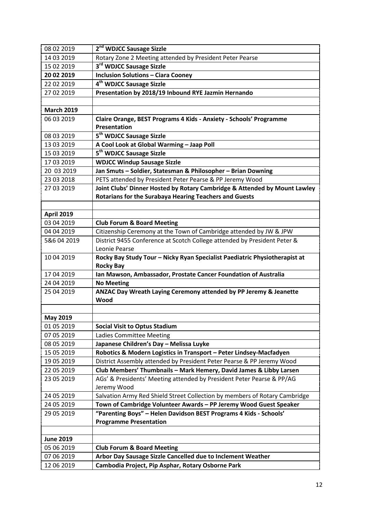| 08 02 2019        | 2 <sup>nd</sup> WDJCC Sausage Sizzle                                                                                                       |  |  |
|-------------------|--------------------------------------------------------------------------------------------------------------------------------------------|--|--|
| 14 03 2019        | Rotary Zone 2 Meeting attended by President Peter Pearse                                                                                   |  |  |
| 15 02 2019        | 3 <sup>rd</sup> WDJCC Sausage Sizzle                                                                                                       |  |  |
| 20 02 2019        | <b>Inclusion Solutions - Ciara Cooney</b>                                                                                                  |  |  |
| 22 02 2019        | 4 <sup>th</sup> WDJCC Sausage Sizzle                                                                                                       |  |  |
| 27 02 2019        | Presentation by 2018/19 Inbound RYE Jazmin Hernando                                                                                        |  |  |
|                   |                                                                                                                                            |  |  |
| <b>March 2019</b> |                                                                                                                                            |  |  |
| 06 03 2019        | Claire Orange, BEST Programs 4 Kids - Anxiety - Schools' Programme<br><b>Presentation</b>                                                  |  |  |
| 08 03 2019        | 5 <sup>th</sup> WDJCC Sausage Sizzle                                                                                                       |  |  |
| 13 03 2019        | A Cool Look at Global Warming - Jaap Poll                                                                                                  |  |  |
| 15 03 2019        | 5 <sup>th</sup> WDJCC Sausage Sizzle                                                                                                       |  |  |
| 17 03 2019        | <b>WDJCC Windup Sausage Sizzle</b>                                                                                                         |  |  |
| 20 03 2019        | Jan Smuts - Soldier, Statesman & Philosopher - Brian Downing                                                                               |  |  |
| 23 03 2018        | PETS attended by President Peter Pearse & PP Jeremy Wood                                                                                   |  |  |
| 27 03 2019        | Joint Clubs' Dinner Hosted by Rotary Cambridge & Attended by Mount Lawley<br><b>Rotarians for the Surabaya Hearing Teachers and Guests</b> |  |  |
|                   |                                                                                                                                            |  |  |
| <b>April 2019</b> |                                                                                                                                            |  |  |
| 03 04 2019        | <b>Club Forum &amp; Board Meeting</b>                                                                                                      |  |  |
| 04 04 2019        | Citizenship Ceremony at the Town of Cambridge attended by JW & JPW                                                                         |  |  |
| 5&6 04 2019       | District 9455 Conference at Scotch College attended by President Peter &<br>Leonie Pearse                                                  |  |  |
| 10 04 2019        | Rocky Bay Study Tour - Nicky Ryan Specialist Paediatric Physiotherapist at<br><b>Rocky Bay</b>                                             |  |  |
| 17 04 2019        | Ian Mawson, Ambassador, Prostate Cancer Foundation of Australia                                                                            |  |  |
| 24 04 2019        | <b>No Meeting</b>                                                                                                                          |  |  |
| 25 04 2019        | ANZAC Day Wreath Laying Ceremony attended by PP Jeremy & Jeanette<br>Wood                                                                  |  |  |
|                   |                                                                                                                                            |  |  |
| <b>May 2019</b>   |                                                                                                                                            |  |  |
| 01 05 2019        | <b>Social Visit to Optus Stadium</b>                                                                                                       |  |  |
| 07 05 2019        | <b>Ladies Committee Meeting</b>                                                                                                            |  |  |
| 08 05 2019        | Japanese Children's Day - Melissa Luyke                                                                                                    |  |  |
| 15 05 2019        | Robotics & Modern Logistics in Transport - Peter Lindsey-Macfadyen                                                                         |  |  |
| 19 05 2019        | District Assembly attended by President Peter Pearse & PP Jeremy Wood                                                                      |  |  |
| 22 05 2019        | Club Members' Thumbnails - Mark Hemery, David James & Libby Larsen                                                                         |  |  |
| 23 05 2019        | AGs' & Presidents' Meeting attended by President Peter Pearse & PP/AG                                                                      |  |  |
|                   | Jeremy Wood                                                                                                                                |  |  |
| 24 05 2019        | Salvation Army Red Shield Street Collection by members of Rotary Cambridge                                                                 |  |  |
| 24 05 2019        | Town of Cambridge Volunteer Awards - PP Jeremy Wood Guest Speaker                                                                          |  |  |
| 29 05 2019        | "Parenting Boys" - Helen Davidson BEST Programs 4 Kids - Schools'                                                                          |  |  |
|                   | <b>Programme Presentation</b>                                                                                                              |  |  |
|                   |                                                                                                                                            |  |  |
| <b>June 2019</b>  |                                                                                                                                            |  |  |
| 05 06 2019        | <b>Club Forum &amp; Board Meeting</b>                                                                                                      |  |  |
| 07 06 2019        | Arbor Day Sausage Sizzle Cancelled due to Inclement Weather                                                                                |  |  |
| 12 06 2019        | Cambodia Project, Pip Asphar, Rotary Osborne Park                                                                                          |  |  |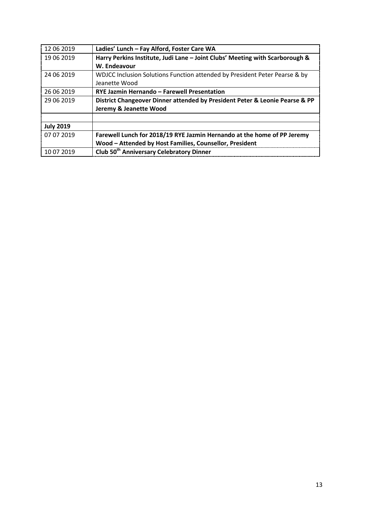| 12 06 2019       | Ladies' Lunch - Fay Alford, Foster Care WA                                   |
|------------------|------------------------------------------------------------------------------|
| 19 06 2019       | Harry Perkins Institute, Judi Lane - Joint Clubs' Meeting with Scarborough & |
|                  | W. Endeavour                                                                 |
| 24 06 2019       | WDJCC Inclusion Solutions Function attended by President Peter Pearse & by   |
|                  | Jeanette Wood                                                                |
| 26 06 2019       | RYE Jazmin Hernando - Farewell Presentation                                  |
| 29 06 2019       | District Changeover Dinner attended by President Peter & Leonie Pearse & PP  |
|                  | Jeremy & Jeanette Wood                                                       |
|                  |                                                                              |
| <b>July 2019</b> |                                                                              |
| 07 07 2019       | Farewell Lunch for 2018/19 RYE Jazmin Hernando at the home of PP Jeremy      |
|                  | Wood - Attended by Host Families, Counsellor, President                      |
| 10 07 2019       | Club 50 <sup>th</sup> Anniversary Celebratory Dinner                         |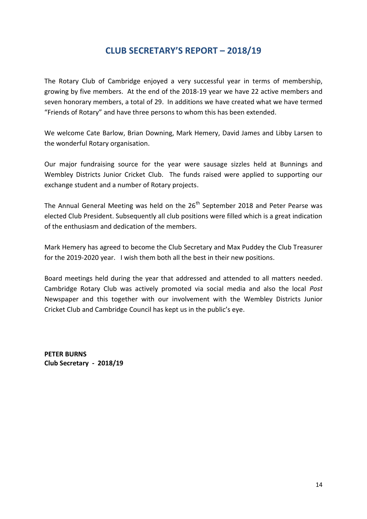# **CLUB SECRETARY'S REPORT – 2018/19**

The Rotary Club of Cambridge enjoyed a very successful year in terms of membership, growing by five members. At the end of the 2018-19 year we have 22 active members and seven honorary members, a total of 29. In additions we have created what we have termed "Friends of Rotary" and have three persons to whom this has been extended.

We welcome Cate Barlow, Brian Downing, Mark Hemery, David James and Libby Larsen to the wonderful Rotary organisation.

Our major fundraising source for the year were sausage sizzles held at Bunnings and Wembley Districts Junior Cricket Club. The funds raised were applied to supporting our exchange student and a number of Rotary projects.

The Annual General Meeting was held on the 26<sup>th</sup> September 2018 and Peter Pearse was elected Club President. Subsequently all club positions were filled which is a great indication of the enthusiasm and dedication of the members.

Mark Hemery has agreed to become the Club Secretary and Max Puddey the Club Treasurer for the 2019-2020 year. I wish them both all the best in their new positions.

Board meetings held during the year that addressed and attended to all matters needed. Cambridge Rotary Club was actively promoted via social media and also the local *Post* Newspaper and this together with our involvement with the Wembley Districts Junior Cricket Club and Cambridge Council has kept us in the public's eye.

**PETER BURNS Club Secretary - 2018/19**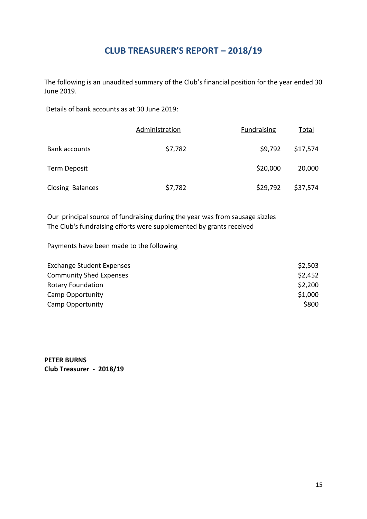# **CLUB TREASURER'S REPORT – 2018/19**

The following is an unaudited summary of the Club's financial position for the year ended 30 June 2019.

Details of bank accounts as at 30 June 2019:

|                      | Administration | <b>Fundraising</b> | Total    |
|----------------------|----------------|--------------------|----------|
| <b>Bank accounts</b> | \$7,782        | \$9,792            | \$17,574 |
| Term Deposit         |                | \$20,000           | 20,000   |
| Closing Balances     | \$7,782        | \$29,792           | \$37,574 |

Our principal source of fundraising during the year was from sausage sizzles The Club's fundraising efforts were supplemented by grants received

Payments have been made to the following

| <b>Exchange Student Expenses</b> | \$2,503 |
|----------------------------------|---------|
| <b>Community Shed Expenses</b>   | \$2,452 |
| <b>Rotary Foundation</b>         | \$2,200 |
| Camp Opportunity                 | \$1,000 |
| <b>Camp Opportunity</b>          | \$800   |

**PETER BURNS Club Treasurer - 2018/19**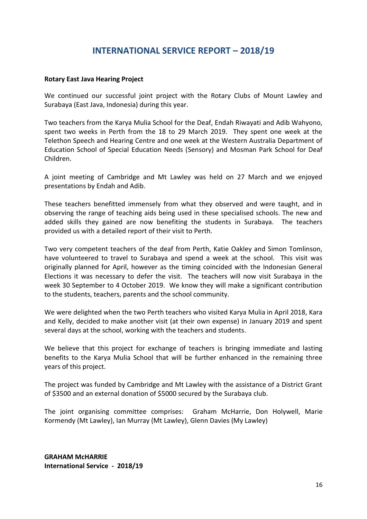### **INTERNATIONAL SERVICE REPORT – 2018/19**

#### **Rotary East Java Hearing Project**

We continued our successful joint project with the Rotary Clubs of Mount Lawley and Surabaya (East Java, Indonesia) during this year.

Two teachers from the Karya Mulia School for the Deaf, Endah Riwayati and Adib Wahyono, spent two weeks in Perth from the 18 to 29 March 2019. They spent one week at the Telethon Speech and Hearing Centre and one week at the Western Australia Department of Education School of Special Education Needs (Sensory) and Mosman Park School for Deaf Children.

A joint meeting of Cambridge and Mt Lawley was held on 27 March and we enjoyed presentations by Endah and Adib.

These teachers benefitted immensely from what they observed and were taught, and in observing the range of teaching aids being used in these specialised schools. The new and added skills they gained are now benefiting the students in Surabaya. The teachers provided us with a detailed report of their visit to Perth.

Two very competent teachers of the deaf from Perth, Katie Oakley and Simon Tomlinson, have volunteered to travel to Surabaya and spend a week at the school. This visit was originally planned for April, however as the timing coincided with the Indonesian General Elections it was necessary to defer the visit. The teachers will now visit Surabaya in the week 30 September to 4 October 2019. We know they will make a significant contribution to the students, teachers, parents and the school community.

We were delighted when the two Perth teachers who visited Karya Mulia in April 2018, Kara and Kelly, decided to make another visit (at their own expense) in January 2019 and spent several days at the school, working with the teachers and students.

We believe that this project for exchange of teachers is bringing immediate and lasting benefits to the Karya Mulia School that will be further enhanced in the remaining three years of this project.

The project was funded by Cambridge and Mt Lawley with the assistance of a District Grant of \$3500 and an external donation of \$5000 secured by the Surabaya club.

The joint organising committee comprises: Graham McHarrie, Don Holywell, Marie Kormendy (Mt Lawley), Ian Murray (Mt Lawley), Glenn Davies (My Lawley)

**GRAHAM McHARRIE International Service - 2018/19**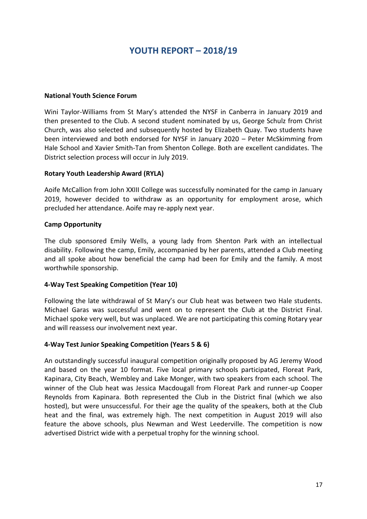# **YOUTH REPORT – 2018/19**

#### **National Youth Science Forum**

Wini Taylor-Williams from St Mary's attended the NYSF in Canberra in January 2019 and then presented to the Club. A second student nominated by us, George Schulz from Christ Church, was also selected and subsequently hosted by Elizabeth Quay. Two students have been interviewed and both endorsed for NYSF in January 2020 – Peter McSkimming from Hale School and Xavier Smith-Tan from Shenton College. Both are excellent candidates. The District selection process will occur in July 2019.

### **Rotary Youth Leadership Award (RYLA)**

Aoife McCallion from John XXIII College was successfully nominated for the camp in January 2019, however decided to withdraw as an opportunity for employment arose, which precluded her attendance. Aoife may re-apply next year.

### **Camp Opportunity**

The club sponsored Emily Wells, a young lady from Shenton Park with an intellectual disability. Following the camp, Emily, accompanied by her parents, attended a Club meeting and all spoke about how beneficial the camp had been for Emily and the family. A most worthwhile sponsorship.

#### **4-Way Test Speaking Competition (Year 10)**

Following the late withdrawal of St Mary's our Club heat was between two Hale students. Michael Garas was successful and went on to represent the Club at the District Final. Michael spoke very well, but was unplaced. We are not participating this coming Rotary year and will reassess our involvement next year.

### **4-Way Test Junior Speaking Competition (Years 5 & 6)**

An outstandingly successful inaugural competition originally proposed by AG Jeremy Wood and based on the year 10 format. Five local primary schools participated, Floreat Park, Kapinara, City Beach, Wembley and Lake Monger, with two speakers from each school. The winner of the Club heat was Jessica Macdougall from Floreat Park and runner-up Cooper Reynolds from Kapinara. Both represented the Club in the District final (which we also hosted), but were unsuccessful. For their age the quality of the speakers, both at the Club heat and the final, was extremely high. The next competition in August 2019 will also feature the above schools, plus Newman and West Leederville. The competition is now advertised District wide with a perpetual trophy for the winning school.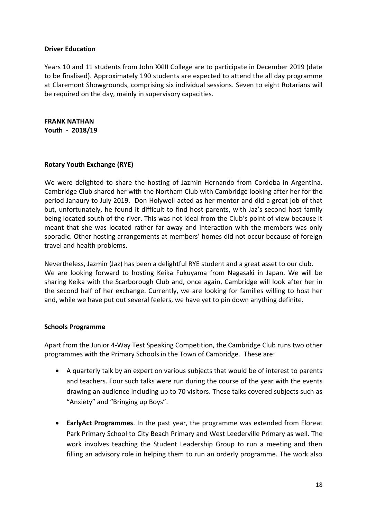### **Driver Education**

Years 10 and 11 students from John XXIII College are to participate in December 2019 (date to be finalised). Approximately 190 students are expected to attend the all day programme at Claremont Showgrounds, comprising six individual sessions. Seven to eight Rotarians will be required on the day, mainly in supervisory capacities.

**FRANK NATHAN Youth - 2018/19**

### **Rotary Youth Exchange (RYE)**

We were delighted to share the hosting of Jazmin Hernando from Cordoba in Argentina. Cambridge Club shared her with the Northam Club with Cambridge looking after her for the period Janaury to July 2019. Don Holywell acted as her mentor and did a great job of that but, unfortunately, he found it difficult to find host parents, with Jaz's second host family being located south of the river. This was not ideal from the Club's point of view because it meant that she was located rather far away and interaction with the members was only sporadic. Other hosting arrangements at members' homes did not occur because of foreign travel and health problems.

Nevertheless, Jazmin (Jaz) has been a delightful RYE student and a great asset to our club. We are looking forward to hosting Keika Fukuyama from Nagasaki in Japan. We will be sharing Keika with the Scarborough Club and, once again, Cambridge will look after her in the second half of her exchange. Currently, we are looking for families willing to host her and, while we have put out several feelers, we have yet to pin down anything definite.

#### **Schools Programme**

Apart from the Junior 4-Way Test Speaking Competition, the Cambridge Club runs two other programmes with the Primary Schools in the Town of Cambridge. These are:

- A quarterly talk by an expert on various subjects that would be of interest to parents and teachers. Four such talks were run during the course of the year with the events drawing an audience including up to 70 visitors. These talks covered subjects such as "Anxiety" and "Bringing up Boys".
- **EarlyAct Programmes**. In the past year, the programme was extended from Floreat Park Primary School to City Beach Primary and West Leederville Primary as well. The work involves teaching the Student Leadership Group to run a meeting and then filling an advisory role in helping them to run an orderly programme. The work also